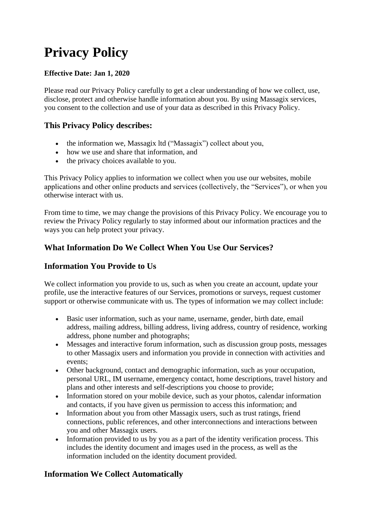# **Privacy Policy**

#### **Effective Date: Jan 1, 2020**

Please read our Privacy Policy carefully to get a clear understanding of how we collect, use, disclose, protect and otherwise handle information about you. By using Massagix services, you consent to the collection and use of your data as described in this Privacy Policy.

#### **This Privacy Policy describes:**

- the information we, Massagix ltd ("Massagix") collect about you,
- how we use and share that information, and
- the privacy choices available to you.

This Privacy Policy applies to information we collect when you use our websites, mobile applications and other online products and services (collectively, the "Services"), or when you otherwise interact with us.

From time to time, we may change the provisions of this Privacy Policy. We encourage you to review the Privacy Policy regularly to stay informed about our information practices and the ways you can help protect your privacy.

#### **What Information Do We Collect When You Use Our Services?**

#### **Information You Provide to Us**

We collect information you provide to us, such as when you create an account, update your profile, use the interactive features of our Services, promotions or surveys, request customer support or otherwise communicate with us. The types of information we may collect include:

- Basic user information, such as your name, username, gender, birth date, email address, mailing address, billing address, living address, country of residence, working address, phone number and photographs;
- Messages and interactive forum information, such as discussion group posts, messages to other Massagix users and information you provide in connection with activities and events;
- Other background, contact and demographic information, such as your occupation, personal URL, IM username, emergency contact, home descriptions, travel history and plans and other interests and self-descriptions you choose to provide;
- Information stored on your mobile device, such as your photos, calendar information and contacts, if you have given us permission to access this information; and
- Information about you from other Massagix users, such as trust ratings, friend connections, public references, and other interconnections and interactions between you and other Massagix users.
- Information provided to us by you as a part of the identity verification process. This includes the identity document and images used in the process, as well as the information included on the identity document provided.

#### **Information We Collect Automatically**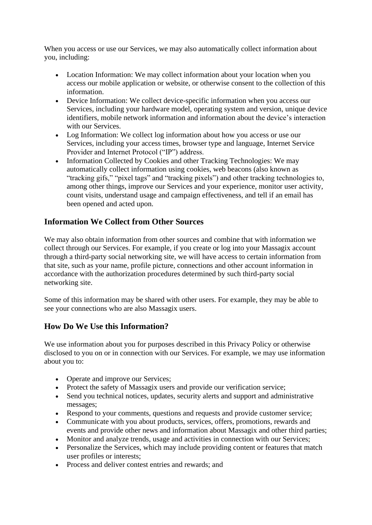When you access or use our Services, we may also automatically collect information about you, including:

- Location Information: We may collect information about your location when you access our mobile application or website, or otherwise consent to the collection of this information.
- Device Information: We collect device-specific information when you access our Services, including your hardware model, operating system and version, unique device identifiers, mobile network information and information about the device's interaction with our Services.
- Log Information: We collect log information about how you access or use our Services, including your access times, browser type and language, Internet Service Provider and Internet Protocol ("IP") address.
- Information Collected by Cookies and other Tracking Technologies: We may automatically collect information using cookies, web beacons (also known as "tracking gifs," "pixel tags" and "tracking pixels") and other tracking technologies to, among other things, improve our Services and your experience, monitor user activity, count visits, understand usage and campaign effectiveness, and tell if an email has been opened and acted upon.

#### **Information We Collect from Other Sources**

We may also obtain information from other sources and combine that with information we collect through our Services. For example, if you create or log into your Massagix account through a third-party social networking site, we will have access to certain information from that site, such as your name, profile picture, connections and other account information in accordance with the authorization procedures determined by such third-party social networking site.

Some of this information may be shared with other users. For example, they may be able to see your connections who are also Massagix users.

#### **How Do We Use this Information?**

We use information about you for purposes described in this Privacy Policy or otherwise disclosed to you on or in connection with our Services. For example, we may use information about you to:

- Operate and improve our Services:
- Protect the safety of Massagix users and provide our verification service;
- Send you technical notices, updates, security alerts and support and administrative messages;
- Respond to your comments, questions and requests and provide customer service;
- Communicate with you about products, services, offers, promotions, rewards and events and provide other news and information about Massagix and other third parties;
- Monitor and analyze trends, usage and activities in connection with our Services;
- Personalize the Services, which may include providing content or features that match user profiles or interests;
- Process and deliver contest entries and rewards; and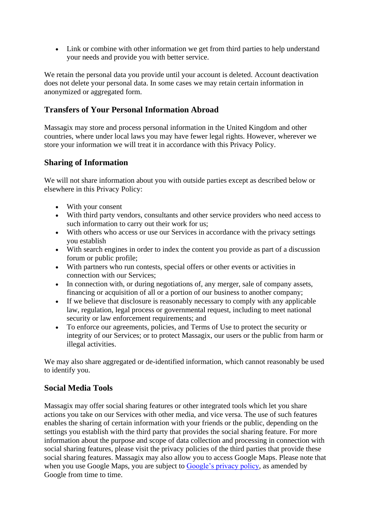• Link or combine with other information we get from third parties to help understand your needs and provide you with better service.

We retain the personal data you provide until your account is deleted. Account deactivation does not delete your personal data. In some cases we may retain certain information in anonymized or aggregated form.

#### **Transfers of Your Personal Information Abroad**

Massagix may store and process personal information in the United Kingdom and other countries, where under local laws you may have fewer legal rights. However, wherever we store your information we will treat it in accordance with this Privacy Policy.

#### **Sharing of Information**

We will not share information about you with outside parties except as described below or elsewhere in this Privacy Policy:

- With your consent
- With third party vendors, consultants and other service providers who need access to such information to carry out their work for us;
- With others who access or use our Services in accordance with the privacy settings you establish
- With search engines in order to index the content you provide as part of a discussion forum or public profile;
- With partners who run contests, special offers or other events or activities in connection with our Services;
- In connection with, or during negotiations of, any merger, sale of company assets, financing or acquisition of all or a portion of our business to another company;
- If we believe that disclosure is reasonably necessary to comply with any applicable law, regulation, legal process or governmental request, including to meet national security or law enforcement requirements; and
- To enforce our agreements, policies, and Terms of Use to protect the security or integrity of our Services; or to protect Massagix, our users or the public from harm or illegal activities.

We may also share aggregated or de-identified information, which cannot reasonably be used to identify you.

#### **Social Media Tools**

Massagix may offer social sharing features or other integrated tools which let you share actions you take on our Services with other media, and vice versa. The use of such features enables the sharing of certain information with your friends or the public, depending on the settings you establish with the third party that provides the social sharing feature. For more information about the purpose and scope of data collection and processing in connection with social sharing features, please visit the privacy policies of the third parties that provide these social sharing features. Massagix may also allow you to access Google Maps. Please note that when you use Google Maps, you are subject to [Google's privacy policy,](https://www.google.com/intl/en/policies/privacy/) as amended by Google from time to time.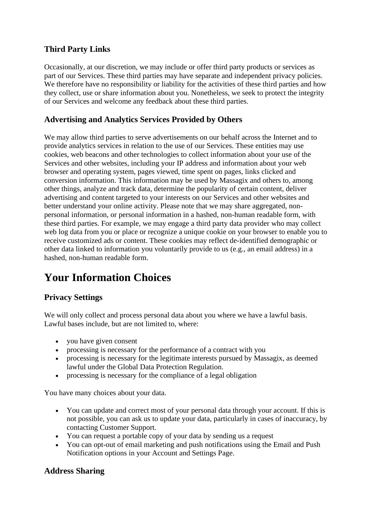#### **Third Party Links**

Occasionally, at our discretion, we may include or offer third party products or services as part of our Services. These third parties may have separate and independent privacy policies. We therefore have no responsibility or liability for the activities of these third parties and how they collect, use or share information about you. Nonetheless, we seek to protect the integrity of our Services and welcome any feedback about these third parties.

#### **Advertising and Analytics Services Provided by Others**

We may allow third parties to serve advertisements on our behalf across the Internet and to provide analytics services in relation to the use of our Services. These entities may use cookies, web beacons and other technologies to collect information about your use of the Services and other websites, including your IP address and information about your web browser and operating system, pages viewed, time spent on pages, links clicked and conversion information. This information may be used by Massagix and others to, among other things, analyze and track data, determine the popularity of certain content, deliver advertising and content targeted to your interests on our Services and other websites and better understand your online activity. Please note that we may share aggregated, nonpersonal information, or personal information in a hashed, non-human readable form, with these third parties. For example, we may engage a third party data provider who may collect web log data from you or place or recognize a unique cookie on your browser to enable you to receive customized ads or content. These cookies may reflect de-identified demographic or other data linked to information you voluntarily provide to us (e.g., an email address) in a hashed, non-human readable form.

## **Your Information Choices**

### **Privacy Settings**

We will only collect and process personal data about you where we have a lawful basis. Lawful bases include, but are not limited to, where:

- you have given consent
- processing is necessary for the performance of a contract with you
- processing is necessary for the legitimate interests pursued by Massagix, as deemed lawful under the Global Data Protection Regulation.
- processing is necessary for the compliance of a legal obligation

You have many choices about your data.

- You can update and correct most of your personal data through your account. If this is not possible, you can ask us to update your data, particularly in cases of inaccuracy, by contacting Customer Support.
- You can request a portable copy of your data by sending us a request
- You can opt-out of email marketing and push notifications using the Email and Push Notification options in your Account and Settings Page.

#### **Address Sharing**